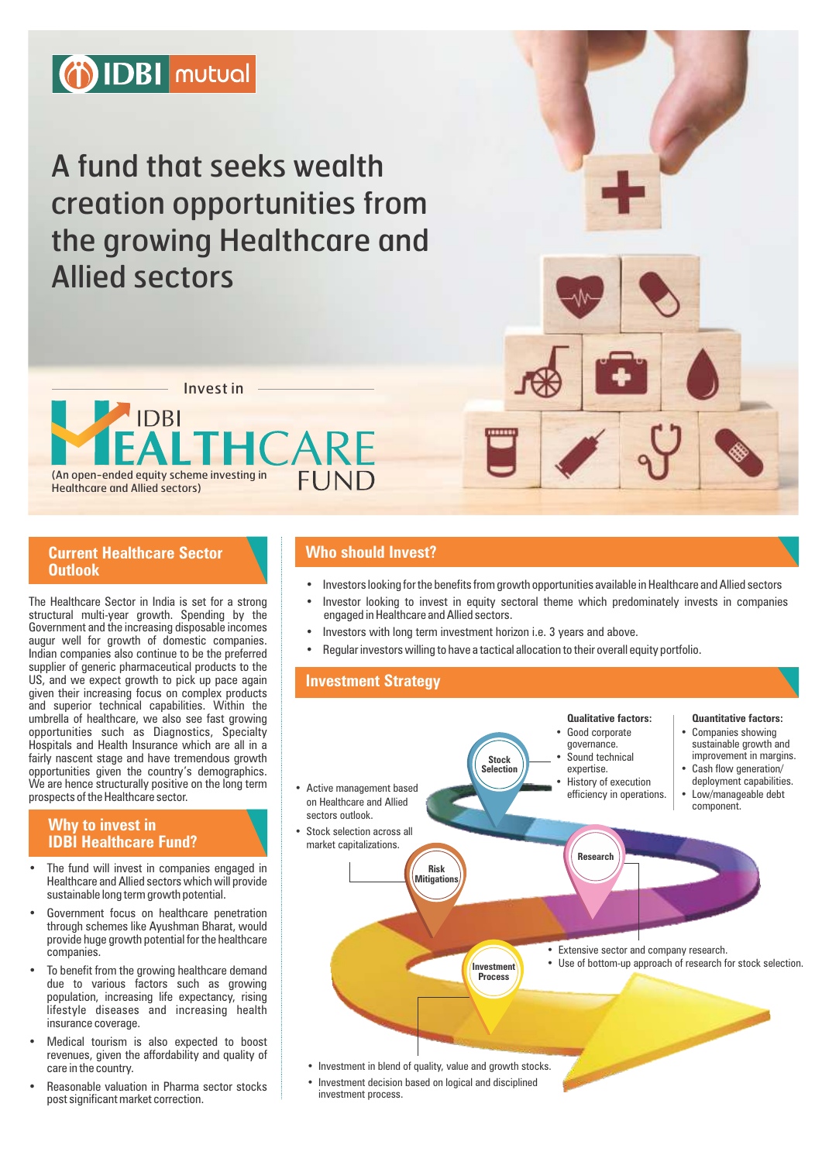

A fund that seeks wealth creation opportunities from the growing Healthcare and Allied sectors

Invest in**AIDBI** (An open-ended equity scheme investing in FUND Healthcare and Allied sectors)

#### **Current Healthcare Sector Outlook**

The Healthcare Sector in India is set for a strong structural multi-year growth. Spending by the Government and the increasing disposable incomes augur well for growth of domestic companies. Indian companies also continue to be the preferred supplier of generic pharmaceutical products to the US, and we expect growth to pick up pace again given their increasing focus on complex products and superior technical capabilities. Within the umbrella of healthcare, we also see fast growing opportunities such as Diagnostics, Specialty Hospitals and Health Insurance which are all in a fairly nascent stage and have tremendous growth opportunities given the country's demographics. We are hence structurally positive on the long term prospects of the Healthcare sector.

#### **Why to invest in IDBI Healthcare Fund?**

- The fund will invest in companies engaged in Healthcare and Allied sectors which will provide sustainable long term growth potential.
- Government focus on healthcare penetration through schemes like Ayushman Bharat, would provide huge growth potential for the healthcare companies.
- To benefit from the growing healthcare demand due to various factors such as growing population, increasing life expectancy, rising lifestyle diseases and increasing health insurance coverage.
- Medical tourism is also expected to boost revenues, given the affordability and quality of care in the country.
- Reasonable valuation in Pharma sector stocks post significant market correction.

### **Who should Invest?**

- Investors looking for the benefits from growth opportunities available in Healthcare and Allied sectors
- Investor looking to invest in equity sectoral theme which predominately invests in companies engaged in Healthcare and Allied sectors.
- Investors with long term investment horizon i.e. 3 years and above.
- Regular investors willing to have a tactical allocation to their overall equity portfolio.